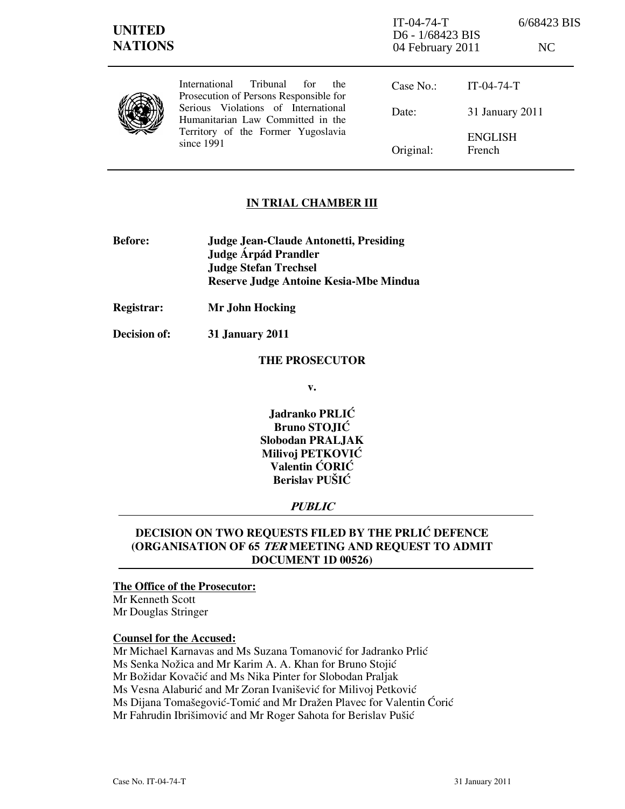| <b>UNITED</b><br><b>NATIONS</b> |                                                                                                                                                                                                                   | $IT-04-74-T$<br>D6 - 1/68423 BIS<br>04 February 2011 |                          | 6/68423 BIS<br>NC |
|---------------------------------|-------------------------------------------------------------------------------------------------------------------------------------------------------------------------------------------------------------------|------------------------------------------------------|--------------------------|-------------------|
|                                 | International<br>Tribunal<br>for<br>the<br>Prosecution of Persons Responsible for<br>Serious Violations of International<br>Humanitarian Law Committed in the<br>Territory of the Former Yugoslavia<br>since 1991 | Case No.:                                            | $IT-04-74-T$             |                   |
|                                 |                                                                                                                                                                                                                   | Date:                                                | 31 January 2011          |                   |
|                                 |                                                                                                                                                                                                                   | Original:                                            | <b>ENGLISH</b><br>French |                   |

## IN TRIAL CHAMBER III

- Before: Judge Jean-Claude Antonetti, Presiding Judge Árpád Prandler Judge Stefan Trechsel Reserve Judge Antoine Kesia-Mbe Mindua
- Registrar: Mr John Hocking
- Decision of: 31 January 2011

### THE PROSECUTOR

v.

Jadranko PRLIĆ Bruno STOJIĆ Slobodan PRALJAK Milivoj PETKOVIĆ Valentin ĆORIĆ Berislav PUŠIĆ

# **PUBLIC**

# DECISION ON TWO REQUESTS FILED BY THE PRLIĆ DEFENCE (ORGANISATION OF 65 TER MEETING AND REQUEST TO ADMIT DOCUMENT 1D 00526)

## The Office of the Prosecutor:

Mr Kenneth Scott Mr Douglas Stringer

#### Counsel for the Accused:

Mr Michael Karnavas and Ms Suzana Tomanović for Jadranko Prlić Ms Senka Nožica and Mr Karim A. A. Khan for Bruno Stojić Mr Božidar Kovačić and Ms Nika Pinter for Slobodan Praljak Ms Vesna Alaburić and Mr Zoran Ivanišević for Milivoj Petković Ms Dijana Tomašegović-Tomić and Mr Dražen Plavec for Valentin Ćorić Mr Fahrudin Ibrišimović and Mr Roger Sahota for Berislav Pušić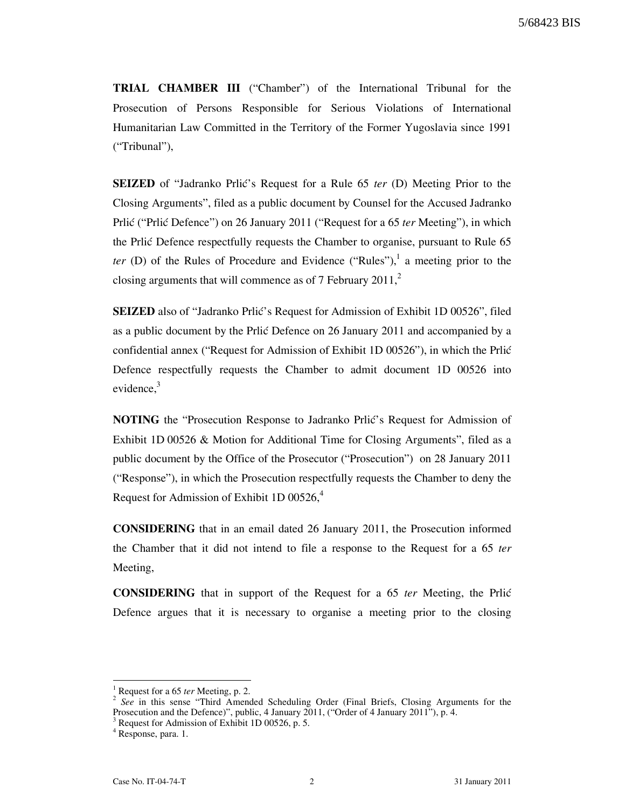TRIAL CHAMBER III ("Chamber") of the International Tribunal for the Prosecution of Persons Responsible for Serious Violations of International Humanitarian Law Committed in the Territory of the Former Yugoslavia since 1991 ("Tribunal"),

**SEIZED** of "Jadranko Prlić's Request for a Rule 65 ter (D) Meeting Prior to the Closing Arguments", filed as a public document by Counsel for the Accused Jadranko Prlic ("Prlic Defence") on 26 January 2011 ("Request for a 65 ter Meeting"), in which the Prlić Defence respectfully requests the Chamber to organise, pursuant to Rule 65 ter (D) of the Rules of Procedure and Evidence ("Rules"),<sup>1</sup> a meeting prior to the closing arguments that will commence as of 7 February 2011, $^{2}$ 

SEIZED also of "Jadranko Prlić's Request for Admission of Exhibit 1D 00526", filed as a public document by the Prlić Defence on 26 January 2011 and accompanied by a confidential annex ("Request for Admission of Exhibit 1D 00526"), in which the Prli} Defence respectfully requests the Chamber to admit document 1D 00526 into evidence. $3$ 

NOTING the "Prosecution Response to Jadranko Prlić's Request for Admission of Exhibit 1D 00526 & Motion for Additional Time for Closing Arguments", filed as a public document by the Office of the Prosecutor ("Prosecution") on 28 January 2011 ("Response"), in which the Prosecution respectfully requests the Chamber to deny the Request for Admission of Exhibit 1D 00526,<sup>4</sup>

CONSIDERING that in an email dated 26 January 2011, the Prosecution informed the Chamber that it did not intend to file a response to the Request for a 65 ter Meeting,

**CONSIDERING** that in support of the Request for a 65 ter Meeting, the Prlic Defence argues that it is necessary to organise a meeting prior to the closing

 $\overline{a}$ 

<sup>1</sup> Request for a 65 ter Meeting, p. 2.

<sup>&</sup>lt;sup>2</sup> See in this sense "Third Amended Scheduling Order (Final Briefs, Closing Arguments for the Prosecution and the Defence)", public, 4 January 2011, ("Order of 4 January 2011"), p. 4.  $\frac{3}{2}$  Becuret for Admission of Erkikit 1D 00526 n. 5.

Request for Admission of Exhibit 1D 00526, p. 5.

<sup>4</sup> Response, para. 1.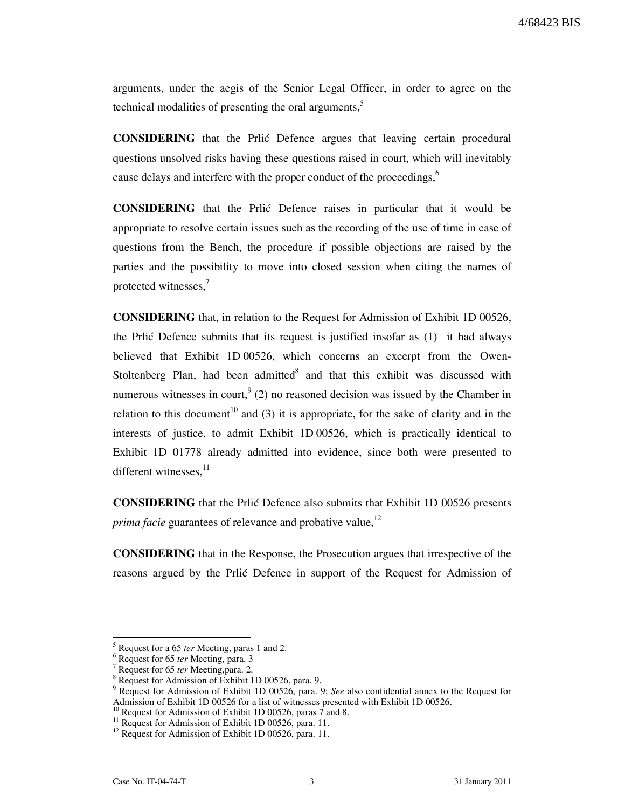4/68423 BIS

arguments, under the aegis of the Senior Legal Officer, in order to agree on the technical modalities of presenting the oral arguments, $5$ 

CONSIDERING that the Prli} Defence argues that leaving certain procedural questions unsolved risks having these questions raised in court, which will inevitably cause delays and interfere with the proper conduct of the proceedings,<sup>6</sup>

CONSIDERING that the Prli} Defence raises in particular that it would be appropriate to resolve certain issues such as the recording of the use of time in case of questions from the Bench, the procedure if possible objections are raised by the parties and the possibility to move into closed session when citing the names of protected witnesses,<sup>7</sup>

CONSIDERING that, in relation to the Request for Admission of Exhibit 1D 00526, the Prlic Defence submits that its request is justified insofar as  $(1)$  it had always believed that Exhibit 1D 00526, which concerns an excerpt from the Owen-Stoltenberg Plan, had been admitted and that this exhibit was discussed with numerous witnesses in court,  $9(2)$  no reasoned decision was issued by the Chamber in relation to this document<sup>10</sup> and (3) it is appropriate, for the sake of clarity and in the interests of justice, to admit Exhibit 1D 00526, which is practically identical to Exhibit 1D 01778 already admitted into evidence, since both were presented to different witnesses,<sup>11</sup>

CONSIDERING that the Prli} Defence also submits that Exhibit 1D 00526 presents *prima facie* guarantees of relevance and probative value,  $12$ 

CONSIDERING that in the Response, the Prosecution argues that irrespective of the reasons argued by the Prlic Defence in support of the Request for Admission of

 $\overline{a}$ 

<sup>5</sup> Request for a 65 ter Meeting, paras 1 and 2.

<sup>&</sup>lt;sup>6</sup> Request for 65 ter Meeting, para. 3

<sup>&</sup>lt;sup>7</sup> Request for 65 ter Meeting, para. 2.

 $\frac{8}{9}$  Request for Admission of Exhibit 1D 00526, para. 9.

Request for Admission of Exhibit 1D 00526, para. 9; See also confidential annex to the Request for Admission of Exhibit 1D 00526 for a list of witnesses presented with Exhibit 1D 00526.

Request for Admission of Exhibit 1D 00526, paras 7 and 8.

<sup>&</sup>lt;sup>11</sup> Request for Admission of Exhibit 1D 00526, para. 11.

<sup>&</sup>lt;sup>12</sup> Request for Admission of Exhibit 1D 00526, para. 11.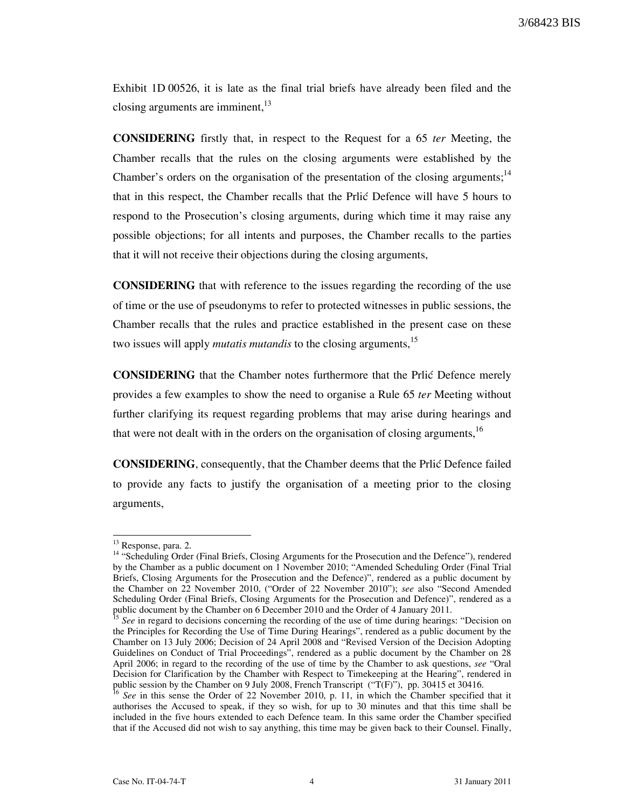Exhibit 1D 00526, it is late as the final trial briefs have already been filed and the closing arguments are imminent.<sup>13</sup>

CONSIDERING firstly that, in respect to the Request for a 65 ter Meeting, the Chamber recalls that the rules on the closing arguments were established by the Chamber's orders on the organisation of the presentation of the closing arguments;<sup>14</sup> that in this respect, the Chamber recalls that the Prlić Defence will have 5 hours to respond to the Prosecution's closing arguments, during which time it may raise any possible objections; for all intents and purposes, the Chamber recalls to the parties that it will not receive their objections during the closing arguments,

CONSIDERING that with reference to the issues regarding the recording of the use of time or the use of pseudonyms to refer to protected witnesses in public sessions, the Chamber recalls that the rules and practice established in the present case on these two issues will apply *mutatis mutandis* to the closing arguments,<sup>15</sup>

CONSIDERING that the Chamber notes furthermore that the Prlić Defence merely provides a few examples to show the need to organise a Rule 65 ter Meeting without further clarifying its request regarding problems that may arise during hearings and that were not dealt with in the orders on the organisation of closing arguments,<sup>16</sup>

CONSIDERING, consequently, that the Chamber deems that the Prli} Defence failed to provide any facts to justify the organisation of a meeting prior to the closing arguments,

 $\overline{\phantom{a}}$ 

<sup>&</sup>lt;sup>13</sup> Response, para. 2.

<sup>&</sup>lt;sup>14</sup> "Scheduling Order (Final Briefs, Closing Arguments for the Prosecution and the Defence"), rendered by the Chamber as a public document on 1 November 2010; "Amended Scheduling Order (Final Trial Briefs, Closing Arguments for the Prosecution and the Defence)", rendered as a public document by the Chamber on 22 November 2010, ("Order of 22 November 2010"); see also "Second Amended Scheduling Order (Final Briefs, Closing Arguments for the Prosecution and Defence)", rendered as a public document by the Chamber on 6 December 2010 and the Order of 4 January 2011.

See in regard to decisions concerning the recording of the use of time during hearings: "Decision on the Principles for Recording the Use of Time During Hearings", rendered as a public document by the Chamber on 13 July 2006; Decision of 24 April 2008 and "Revised Version of the Decision Adopting Guidelines on Conduct of Trial Proceedings", rendered as a public document by the Chamber on 28 April 2006; in regard to the recording of the use of time by the Chamber to ask questions, see "Oral Decision for Clarification by the Chamber with Respect to Timekeeping at the Hearing", rendered in public session by the Chamber on 9 July 2008, French Transcript ("T(F)"), pp. 30415 et 30416.

<sup>&</sup>lt;sup>16</sup> See in this sense the Order of 22 November 2010, p. 11, in which the Chamber specified that it authorises the Accused to speak, if they so wish, for up to 30 minutes and that this time shall be included in the five hours extended to each Defence team. In this same order the Chamber specified that if the Accused did not wish to say anything, this time may be given back to their Counsel. Finally,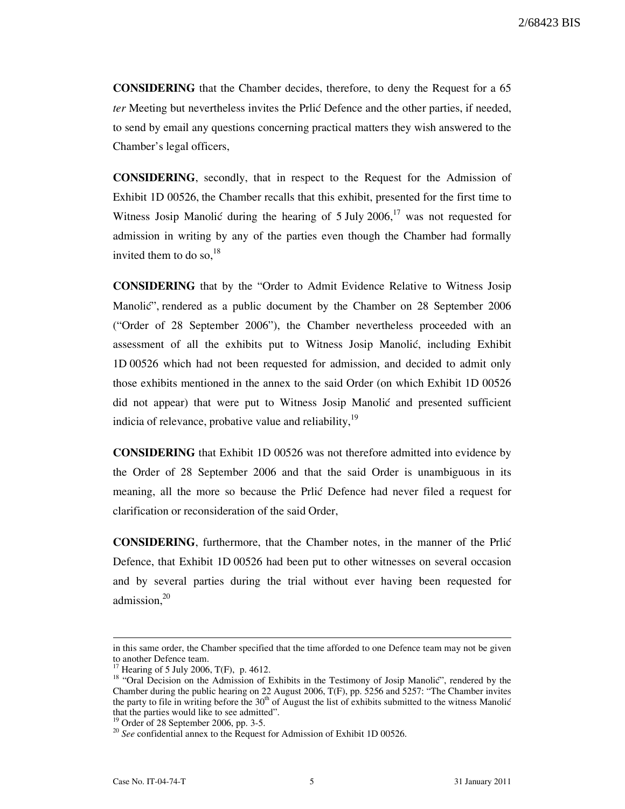CONSIDERING that the Chamber decides, therefore, to deny the Request for a 65 ter Meeting but nevertheless invites the Prlić Defence and the other parties, if needed, to send by email any questions concerning practical matters they wish answered to the Chamber's legal officers,

CONSIDERING, secondly, that in respect to the Request for the Admission of Exhibit 1D 00526, the Chamber recalls that this exhibit, presented for the first time to Witness Josip Manolić during the hearing of 5 July 2006,<sup>17</sup> was not requested for admission in writing by any of the parties even though the Chamber had formally invited them to do so, $^{18}$ 

CONSIDERING that by the "Order to Admit Evidence Relative to Witness Josip Manolić", rendered as a public document by the Chamber on 28 September 2006 ("Order of 28 September 2006"), the Chamber nevertheless proceeded with an assessment of all the exhibits put to Witness Josip Manolić, including Exhibit 1D 00526 which had not been requested for admission, and decided to admit only those exhibits mentioned in the annex to the said Order (on which Exhibit 1D 00526 did not appear) that were put to Witness Josip Manolić and presented sufficient indicia of relevance, probative value and reliability,  $19$ 

CONSIDERING that Exhibit 1D 00526 was not therefore admitted into evidence by the Order of 28 September 2006 and that the said Order is unambiguous in its meaning, all the more so because the Prlić Defence had never filed a request for clarification or reconsideration of the said Order,

CONSIDERING, furthermore, that the Chamber notes, in the manner of the Prli} Defence, that Exhibit 1D 00526 had been put to other witnesses on several occasion and by several parties during the trial without ever having been requested for admission.<sup>20</sup>

 $\overline{a}$ 

in this same order, the Chamber specified that the time afforded to one Defence team may not be given to another Defence team.

Hearing of 5 July 2006, T(F), p. 4612.

<sup>&</sup>lt;sup>18</sup> "Oral Decision on the Admission of Exhibits in the Testimony of Josip Manolic", rendered by the Chamber during the public hearing on 22 August 2006, T(F), pp. 5256 and 5257: "The Chamber invites the party to file in writing before the  $30<sup>th</sup>$  of August the list of exhibits submitted to the witness Manolić that the parties would like to see admitted".

<sup>19</sup> Order of 28 September 2006, pp. 3-5.

 $20$  See confidential annex to the Request for Admission of Exhibit 1D 00526.